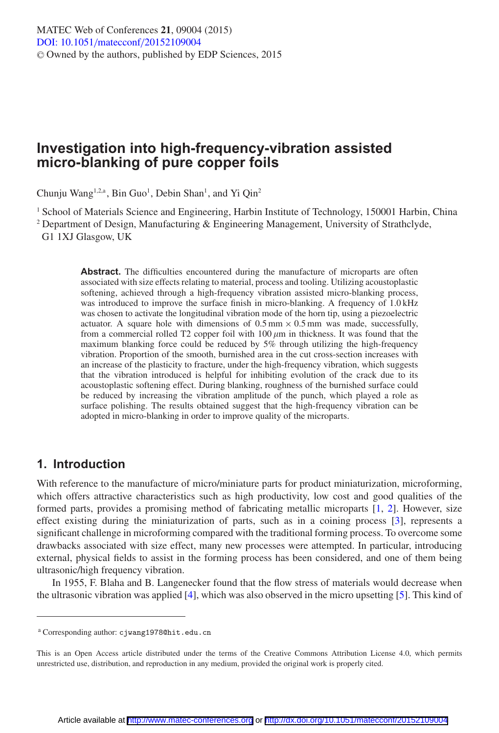# **Investigation into high-frequency-vibration assisted micro-blanking of pure copper foils**

Chunju Wang<sup>1,2,a</sup>, Bin Guo<sup>1</sup>, Debin Shan<sup>1</sup>, and Yi Qin<sup>2</sup>

<sup>1</sup> School of Materials Science and Engineering, Harbin Institute of Technology, 150001 Harbin, China

<sup>2</sup> Department of Design, Manufacturing & Engineering Management, University of Strathclyde, G1 1XJ Glasgow, UK

> Abstract. The difficulties encountered during the manufacture of microparts are often associated with size effects relating to material, process and tooling. Utilizing acoustoplastic softening, achieved through a high-frequency vibration assisted micro-blanking process, was introduced to improve the surface finish in micro-blanking. A frequency of 1.0 kHz was chosen to activate the longitudinal vibration mode of the horn tip, using a piezoelectric actuator. A square hole with dimensions of  $0.5 \text{ mm} \times 0.5 \text{ mm}$  was made, successfully, from a commercial rolled T2 copper foil with  $100 \mu m$  in thickness. It was found that the maximum blanking force could be reduced by 5% through utilizing the high-frequency vibration. Proportion of the smooth, burnished area in the cut cross-section increases with an increase of the plasticity to fracture, under the high-frequency vibration, which suggests that the vibration introduced is helpful for inhibiting evolution of the crack due to its acoustoplastic softening effect. During blanking, roughness of the burnished surface could be reduced by increasing the vibration amplitude of the punch, which played a role as surface polishing. The results obtained suggest that the high-frequency vibration can be adopted in micro-blanking in order to improve quality of the microparts.

## **1. Introduction**

With reference to the manufacture of micro/miniature parts for product miniaturization, microforming, which offers attractive characteristics such as high productivity, low cost and good qualities of the formed parts, provides a promising method of fabricating metallic microparts [\[1](#page-6-0), [2\]](#page-6-1). However, size effect existing during the miniaturization of parts, such as in a coining process [\[3](#page-6-2)], represents a significant challenge in microforming compared with the traditional forming process. To overcome some drawbacks associated with size effect, many new processes were attempted. In particular, introducing external, physical fields to assist in the forming process has been considered, and one of them being ultrasonic/high frequency vibration.

In 1955, F. Blaha and B. Langenecker found that the flow stress of materials would decrease when the ultrasonic vibration was applied [\[4](#page-6-3)], which was also observed in the micro upsetting [\[5\]](#page-6-4). This kind of

<sup>a</sup> Corresponding author: cjwang1978@hit.edu.cn

This is an Open Access article distributed under the terms of the Creative Commons Attribution License 4.0, which permits unrestricted use, distribution, and reproduction in any medium, provided the original work is properly cited.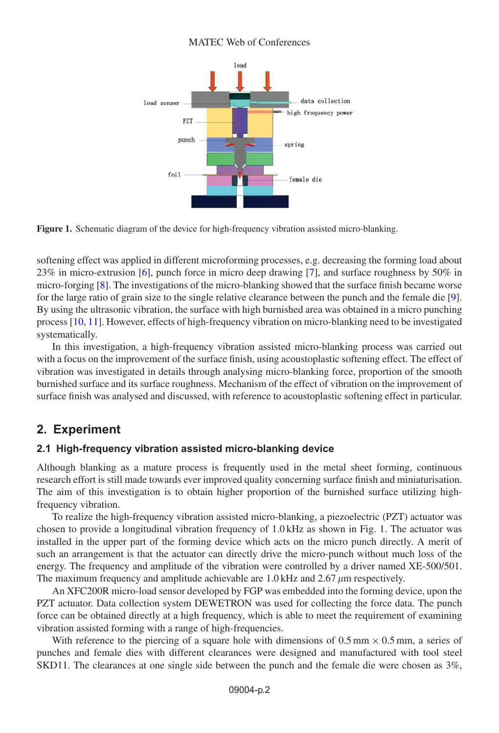#### MATEC Web of Conferences



**Figure 1.** Schematic diagram of the device for high-frequency vibration assisted micro-blanking.

softening effect was applied in different microforming processes, e.g. decreasing the forming load about 23% in micro-extrusion [\[6](#page-6-5)], punch force in micro deep drawing [\[7\]](#page-6-6), and surface roughness by 50% in micro-forging [\[8\]](#page-6-7). The investigations of the micro-blanking showed that the surface finish became worse for the large ratio of grain size to the single relative clearance between the punch and the female die [\[9\]](#page-6-8). By using the ultrasonic vibration, the surface with high burnished area was obtained in a micro punching process [\[10,](#page-6-9) [11](#page-6-10)]. However, effects of high-frequency vibration on micro-blanking need to be investigated systematically.

In this investigation, a high-frequency vibration assisted micro-blanking process was carried out with a focus on the improvement of the surface finish, using acoustoplastic softening effect. The effect of vibration was investigated in details through analysing micro-blanking force, proportion of the smooth burnished surface and its surface roughness. Mechanism of the effect of vibration on the improvement of surface finish was analysed and discussed, with reference to acoustoplastic softening effect in particular.

## **2. Experiment**

### **2.1 High-frequency vibration assisted micro-blanking device**

Although blanking as a mature process is frequently used in the metal sheet forming, continuous research effort is still made towards ever improved quality concerning surface finish and miniaturisation. The aim of this investigation is to obtain higher proportion of the burnished surface utilizing highfrequency vibration.

To realize the high-frequency vibration assisted micro-blanking, a piezoelectric (PZT) actuator was chosen to provide a longitudinal vibration frequency of 1.0 kHz as shown in Fig. 1. The actuator was installed in the upper part of the forming device which acts on the micro punch directly. A merit of such an arrangement is that the actuator can directly drive the micro-punch without much loss of the energy. The frequency and amplitude of the vibration were controlled by a driver named XE-500/501. The maximum frequency and amplitude achievable are 1.0 kHz and 2.67  $\mu$ m respectively.

An XFC200R micro-load sensor developed by FGP was embedded into the forming device, upon the PZT actuator. Data collection system DEWETRON was used for collecting the force data. The punch force can be obtained directly at a high frequency, which is able to meet the requirement of examining vibration assisted forming with a range of high-frequencies.

With reference to the piercing of a square hole with dimensions of  $0.5$  mm  $\times$   $0.5$  mm, a series of punches and female dies with different clearances were designed and manufactured with tool steel SKD11. The clearances at one single side between the punch and the female die were chosen as 3%,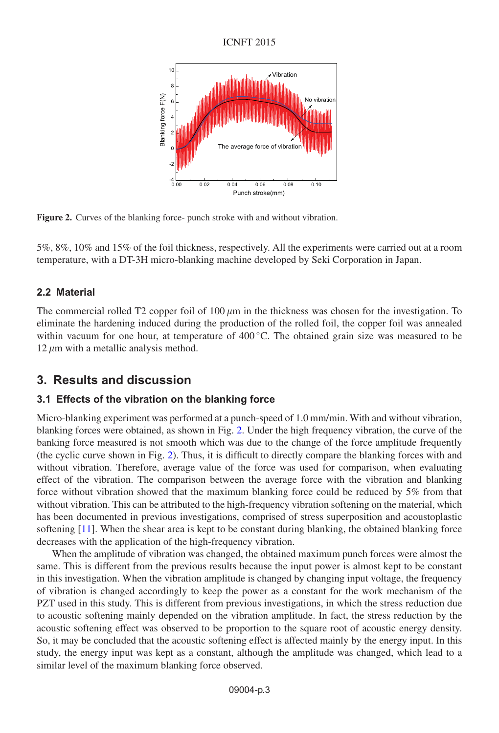### ICNFT 2015



<span id="page-2-0"></span>**Figure 2.** Curves of the blanking force- punch stroke with and without vibration.

5%, 8%, 10% and 15% of the foil thickness, respectively. All the experiments were carried out at a room temperature, with a DT-3H micro-blanking machine developed by Seki Corporation in Japan.

## **2.2 Material**

The commercial rolled T2 copper foil of  $100 \mu m$  in the thickness was chosen for the investigation. To eliminate the hardening induced during the production of the rolled foil, the copper foil was annealed within vacuum for one hour, at temperature of  $400^{\circ}$ C. The obtained grain size was measured to be  $12 \mu m$  with a metallic analysis method.

## **3. Results and discussion**

### **3.1 Effects of the vibration on the blanking force**

Micro-blanking experiment was performed at a punch-speed of 1.0 mm/min. With and without vibration, blanking forces were obtained, as shown in Fig. [2.](#page-2-0) Under the high frequency vibration, the curve of the banking force measured is not smooth which was due to the change of the force amplitude frequently (the cyclic curve shown in Fig. [2\)](#page-2-0). Thus, it is difficult to directly compare the blanking forces with and without vibration. Therefore, average value of the force was used for comparison, when evaluating effect of the vibration. The comparison between the average force with the vibration and blanking force without vibration showed that the maximum blanking force could be reduced by 5% from that without vibration. This can be attributed to the high-frequency vibration softening on the material, which has been documented in previous investigations, comprised of stress superposition and acoustoplastic softening [\[11](#page-6-10)]. When the shear area is kept to be constant during blanking, the obtained blanking force decreases with the application of the high-frequency vibration.

When the amplitude of vibration was changed, the obtained maximum punch forces were almost the same. This is different from the previous results because the input power is almost kept to be constant in this investigation. When the vibration amplitude is changed by changing input voltage, the frequency of vibration is changed accordingly to keep the power as a constant for the work mechanism of the PZT used in this study. This is different from previous investigations, in which the stress reduction due to acoustic softening mainly depended on the vibration amplitude. In fact, the stress reduction by the acoustic softening effect was observed to be proportion to the square root of acoustic energy density. So, it may be concluded that the acoustic softening effect is affected mainly by the energy input. In this study, the energy input was kept as a constant, although the amplitude was changed, which lead to a similar level of the maximum blanking force observed.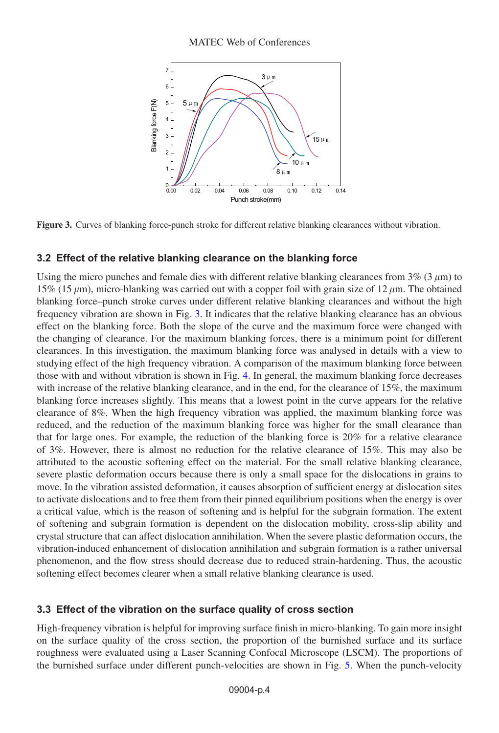### MATEC Web of Conferences



<span id="page-3-0"></span>**Figure 3.** Curves of blanking force-punch stroke for different relative blanking clearances without vibration.

## **3.2 Effect of the relative blanking clearance on the blanking force**

Using the micro punches and female dies with different relative blanking clearances from  $3\%$  (3  $\mu$ m) to 15% (15  $\mu$ m), micro-blanking was carried out with a copper foil with grain size of 12  $\mu$ m. The obtained blanking force–punch stroke curves under different relative blanking clearances and without the high frequency vibration are shown in Fig. [3.](#page-3-0) It indicates that the relative blanking clearance has an obvious effect on the blanking force. Both the slope of the curve and the maximum force were changed with the changing of clearance. For the maximum blanking forces, there is a minimum point for different clearances. In this investigation, the maximum blanking force was analysed in details with a view to studying effect of the high frequency vibration. A comparison of the maximum blanking force between those with and without vibration is shown in Fig. [4.](#page-4-0) In general, the maximum blanking force decreases with increase of the relative blanking clearance, and in the end, for the clearance of 15%, the maximum blanking force increases slightly. This means that a lowest point in the curve appears for the relative clearance of 8%. When the high frequency vibration was applied, the maximum blanking force was reduced, and the reduction of the maximum blanking force was higher for the small clearance than that for large ones. For example, the reduction of the blanking force is 20% for a relative clearance of 3%. However, there is almost no reduction for the relative clearance of 15%. This may also be attributed to the acoustic softening effect on the material. For the small relative blanking clearance, severe plastic deformation occurs because there is only a small space for the dislocations in grains to move. In the vibration assisted deformation, it causes absorption of sufficient energy at dislocation sites to activate dislocations and to free them from their pinned equilibrium positions when the energy is over a critical value, which is the reason of softening and is helpful for the subgrain formation. The extent of softening and subgrain formation is dependent on the dislocation mobility, cross-slip ability and crystal structure that can affect dislocation annihilation. When the severe plastic deformation occurs, the vibration-induced enhancement of dislocation annihilation and subgrain formation is a rather universal phenomenon, and the flow stress should decrease due to reduced strain-hardening. Thus, the acoustic softening effect becomes clearer when a small relative blanking clearance is used.

## **3.3 Effect of the vibration on the surface quality of cross section**

High-frequency vibration is helpful for improving surface finish in micro-blanking. To gain more insight on the surface quality of the cross section, the proportion of the burnished surface and its surface roughness were evaluated using a Laser Scanning Confocal Microscope (LSCM). The proportions of the burnished surface under different punch-velocities are shown in Fig. [5.](#page-4-1) When the punch-velocity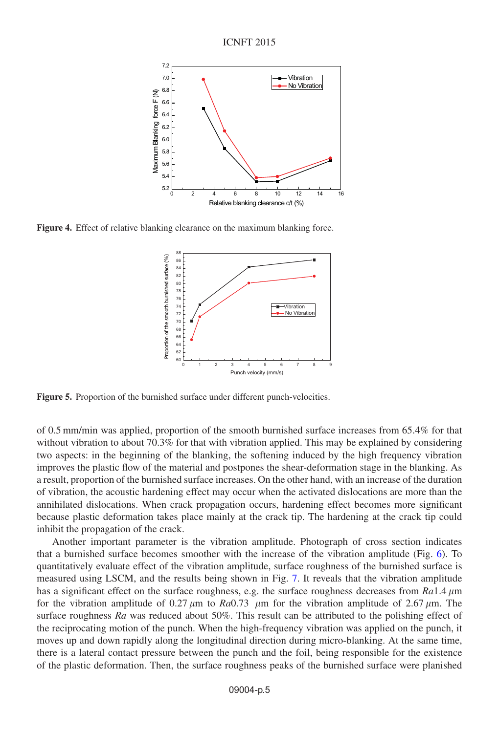<span id="page-4-0"></span>

<span id="page-4-1"></span>**Figure 4.** Effect of relative blanking clearance on the maximum blanking force.



**Figure 5.** Proportion of the burnished surface under different punch-velocities.

of 0.5 mm/min was applied, proportion of the smooth burnished surface increases from 65.4% for that without vibration to about 70.3% for that with vibration applied. This may be explained by considering two aspects: in the beginning of the blanking, the softening induced by the high frequency vibration improves the plastic flow of the material and postpones the shear-deformation stage in the blanking. As a result, proportion of the burnished surface increases. On the other hand, with an increase of the duration of vibration, the acoustic hardening effect may occur when the activated dislocations are more than the annihilated dislocations. When crack propagation occurs, hardening effect becomes more significant because plastic deformation takes place mainly at the crack tip. The hardening at the crack tip could inhibit the propagation of the crack.

Another important parameter is the vibration amplitude. Photograph of cross section indicates that a burnished surface becomes smoother with the increase of the vibration amplitude (Fig. [6\)](#page-5-0). To quantitatively evaluate effect of the vibration amplitude, surface roughness of the burnished surface is measured using LSCM, and the results being shown in Fig. [7.](#page-5-1) It reveals that the vibration amplitude has a significant effect on the surface roughness, e.g. the surface roughness decreases from *Ra*1.4  $\mu$ m for the vibration amplitude of 0.27  $\mu$ m to *Ra*0.73  $\mu$ m for the vibration amplitude of 2.67  $\mu$ m. The surface roughness *Ra* was reduced about 50%. This result can be attributed to the polishing effect of the reciprocating motion of the punch. When the high-frequency vibration was applied on the punch, it moves up and down rapidly along the longitudinal direction during micro-blanking. At the same time, there is a lateral contact pressure between the punch and the foil, being responsible for the existence of the plastic deformation. Then, the surface roughness peaks of the burnished surface were planished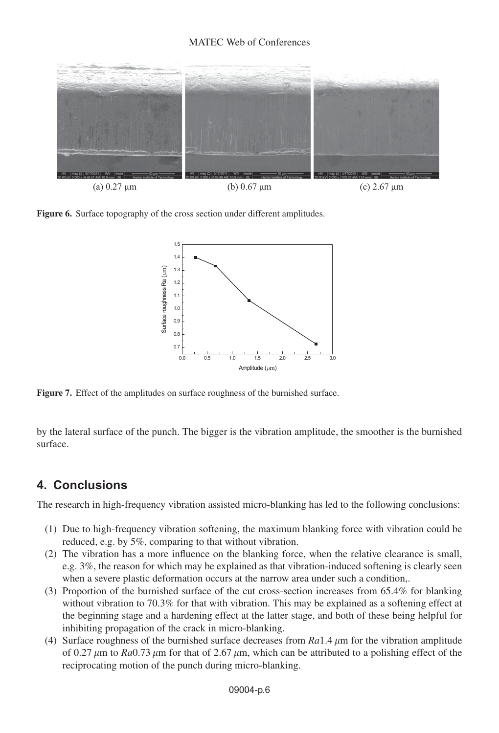#### MATEC Web of Conferences

<span id="page-5-0"></span>

<span id="page-5-1"></span>**Figure 6.** Surface topography of the cross section under different amplitudes.



**Figure 7.** Effect of the amplitudes on surface roughness of the burnished surface.

by the lateral surface of the punch. The bigger is the vibration amplitude, the smoother is the burnished surface.

## **4. Conclusions**

The research in high-frequency vibration assisted micro-blanking has led to the following conclusions:

- (1) Due to high-frequency vibration softening, the maximum blanking force with vibration could be reduced, e.g. by 5%, comparing to that without vibration.
- (2) The vibration has a more influence on the blanking force, when the relative clearance is small, e.g. 3%, the reason for which may be explained as that vibration-induced softening is clearly seen when a severe plastic deformation occurs at the narrow area under such a condition,.
- (3) Proportion of the burnished surface of the cut cross-section increases from 65.4% for blanking without vibration to 70.3% for that with vibration. This may be explained as a softening effect at the beginning stage and a hardening effect at the latter stage, and both of these being helpful for inhibiting propagation of the crack in micro-blanking.
- (4) Surface roughness of the burnished surface decreases from  $Ra1.4 \mu m$  for the vibration amplitude of 0.27  $\mu$ m to *Ra*0.73  $\mu$ m for that of 2.67  $\mu$ m, which can be attributed to a polishing effect of the reciprocating motion of the punch during micro-blanking.